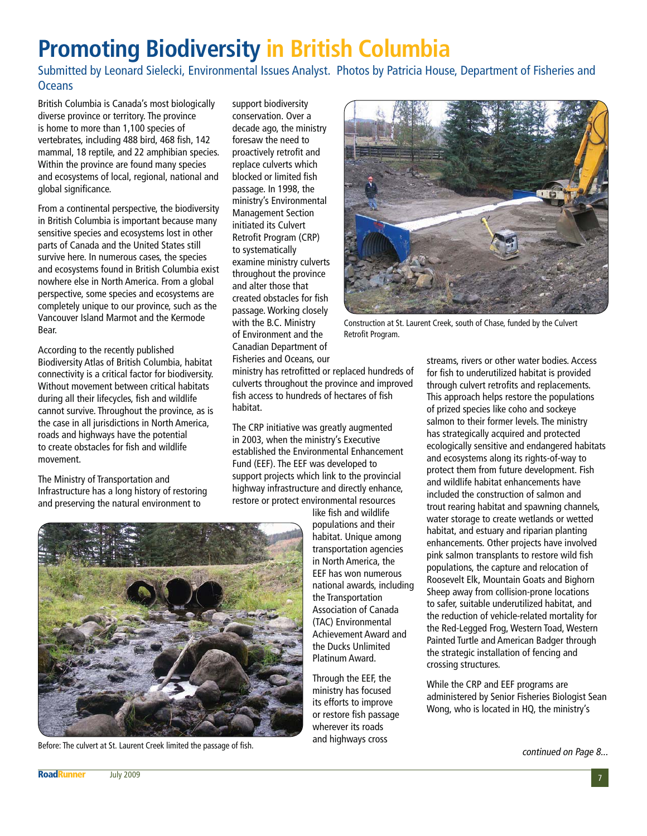## **Promoting Biodiversity in British Columbia**

Submitted by Leonard Sielecki, Environmental Issues Analyst. Photos by Patricia House, Department of Fisheries and **Oceans** 

British Columbia is Canada's most biologically diverse province or territory. The province is home to more than 1,100 species of vertebrates, including 488 bird, 468 fish, 142 mammal, 18 reptile, and 22 amphibian species. Within the province are found many species and ecosystems of local, regional, national and global significance.

From a continental perspective, the biodiversity in British Columbia is important because many sensitive species and ecosystems lost in other parts of Canada and the United States still survive here. In numerous cases, the species and ecosystems found in British Columbia exist nowhere else in North America. From a global perspective, some species and ecosystems are completely unique to our province, such as the Vancouver Island Marmot and the Kermode Bear.

According to the recently published Biodiversity Atlas of British Columbia, habitat connectivity is a critical factor for biodiversity. Without movement between critical habitats during all their lifecycles, fish and wildlife cannot survive. Throughout the province, as is the case in all jurisdictions in North America, roads and highways have the potential to create obstacles for fish and wildlife movement.

The Ministry of Transportation and Infrastructure has a long history of restoring and preserving the natural environment to

support biodiversity conservation. Over a decade ago, the ministry foresaw the need to proactively retrofit and replace culverts which blocked or limited fish passage. In 1998, the ministry's Environmental Management Section initiated its Culvert Retrofit Program (CRP) to systematically examine ministry culverts throughout the province and alter those that created obstacles for fish passage. Working closely with the B.C. Ministry of Environment and the Canadian Department of Fisheries and Oceans, our

ministry has retrofitted or replaced hundreds of culverts throughout the province and improved fish access to hundreds of hectares of fish habitat.

The CRP initiative was greatly augmented in 2003, when the ministry's Executive established the Environmental Enhancement Fund (EEF). The EEF was developed to support projects which link to the provincial highway infrastructure and directly enhance, restore or protect environmental resources

like fish and wildlife populations and their habitat. Unique among transportation agencies in North America, the EEF has won numerous national awards, including the Transportation Association of Canada (TAC) Environmental Achievement Award and the Ducks Unlimited Platinum Award.

Through the EEF, the ministry has focused its efforts to improve or restore fish passage wherever its roads and highways cross



Construction at St. Laurent Creek, south of Chase, funded by the Culvert Retrofit Program.

streams, rivers or other water bodies. Access for fish to underutilized habitat is provided through culvert retrofits and replacements. This approach helps restore the populations of prized species like coho and sockeye salmon to their former levels. The ministry has strategically acquired and protected ecologically sensitive and endangered habitats and ecosystems along its rights-of-way to protect them from future development. Fish and wildlife habitat enhancements have included the construction of salmon and trout rearing habitat and spawning channels, water storage to create wetlands or wetted habitat, and estuary and riparian planting enhancements. Other projects have involved pink salmon transplants to restore wild fish populations, the capture and relocation of Roosevelt Elk, Mountain Goats and Bighorn Sheep away from collision-prone locations to safer, suitable underutilized habitat, and the reduction of vehicle-related mortality for the Red-Legged Frog, Western Toad, Western Painted Turtle and American Badger through the strategic installation of fencing and crossing structures.

While the CRP and EEF programs are administered by Senior Fisheries Biologist Sean Wong, who is located in HQ, the ministry's



Before: The culvert at St. Laurent Creek limited the passage of fish. The culvert at St. Laurent Creek limited the passage of fish.

**RoadRunner** July 2009